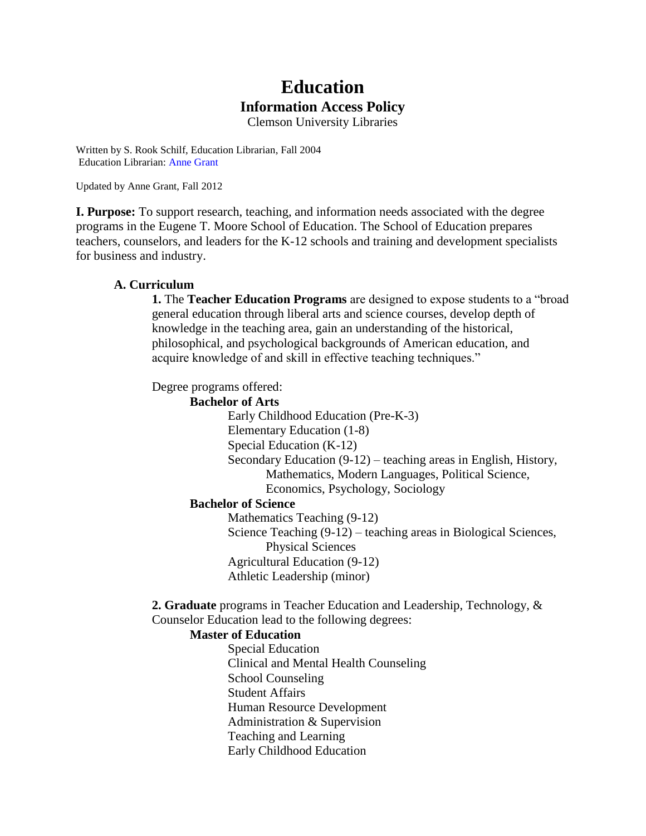# **Education Information Access Policy**

Clemson University Libraries

Written by S. Rook Schilf, Education Librarian, Fall 2004 Education Librarian: Anne Grant

Updated by Anne Grant, Fall 2012

**I. Purpose:** To support research, teaching, and information needs associated with the degree programs in the Eugene T. Moore School of Education. The School of Education prepares teachers, counselors, and leaders for the K-12 schools and training and development specialists for business and industry.

# **A. Curriculum**

**1.** The **Teacher Education Programs** are designed to expose students to a "broad general education through liberal arts and science courses, develop depth of knowledge in the teaching area, gain an understanding of the historical, philosophical, and psychological backgrounds of American education, and acquire knowledge of and skill in effective teaching techniques."

Degree programs offered:

**Bachelor of Arts** Early Childhood Education (Pre-K-3) Elementary Education (1-8) Special Education (K-12) Secondary Education (9-12) – teaching areas in English, History, Mathematics, Modern Languages, Political Science, Economics, Psychology, Sociology **Bachelor of Science**

Mathematics Teaching (9-12) Science Teaching (9-12) – teaching areas in Biological Sciences, Physical Sciences Agricultural Education (9-12) Athletic Leadership (minor)

**2. Graduate** programs in Teacher Education and Leadership, Technology, & Counselor Education lead to the following degrees:

# **Master of Education**

Special Education Clinical and Mental Health Counseling School Counseling Student Affairs Human Resource Development Administration & Supervision Teaching and Learning Early Childhood Education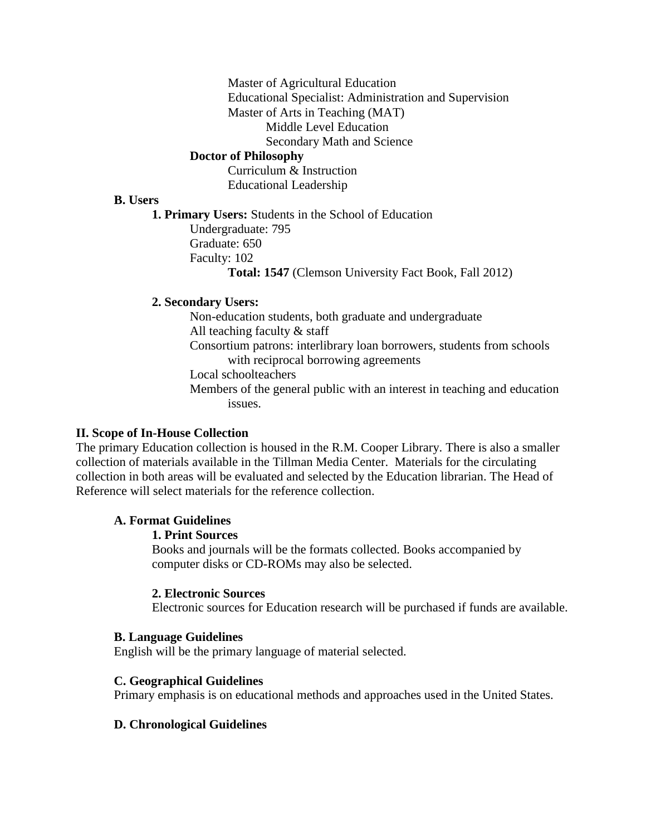Master of Agricultural Education

Educational Specialist: Administration and Supervision

Master of Arts in Teaching (MAT)

Middle Level Education

Secondary Math and Science

# **Doctor of Philosophy**

Curriculum & Instruction Educational Leadership

#### **B. Users**

**1. Primary Users:** Students in the School of Education Undergraduate: 795 Graduate: 650 Faculty: 102

**Total: 1547** (Clemson University Fact Book, Fall 2012)

# **2. Secondary Users:**

Non-education students, both graduate and undergraduate All teaching faculty & staff Consortium patrons: interlibrary loan borrowers, students from schools with reciprocal borrowing agreements Local schoolteachers

Members of the general public with an interest in teaching and education issues.

# **II. Scope of In-House Collection**

The primary Education collection is housed in the R.M. Cooper Library. There is also a smaller collection of materials available in the Tillman Media Center. Materials for the circulating collection in both areas will be evaluated and selected by the Education librarian. The Head of Reference will select materials for the reference collection.

# **A. Format Guidelines**

# **1. Print Sources**

Books and journals will be the formats collected. Books accompanied by computer disks or CD-ROMs may also be selected.

# **2. Electronic Sources**

Electronic sources for Education research will be purchased if funds are available.

# **B. Language Guidelines**

English will be the primary language of material selected.

# **C. Geographical Guidelines**

Primary emphasis is on educational methods and approaches used in the United States.

# **D. Chronological Guidelines**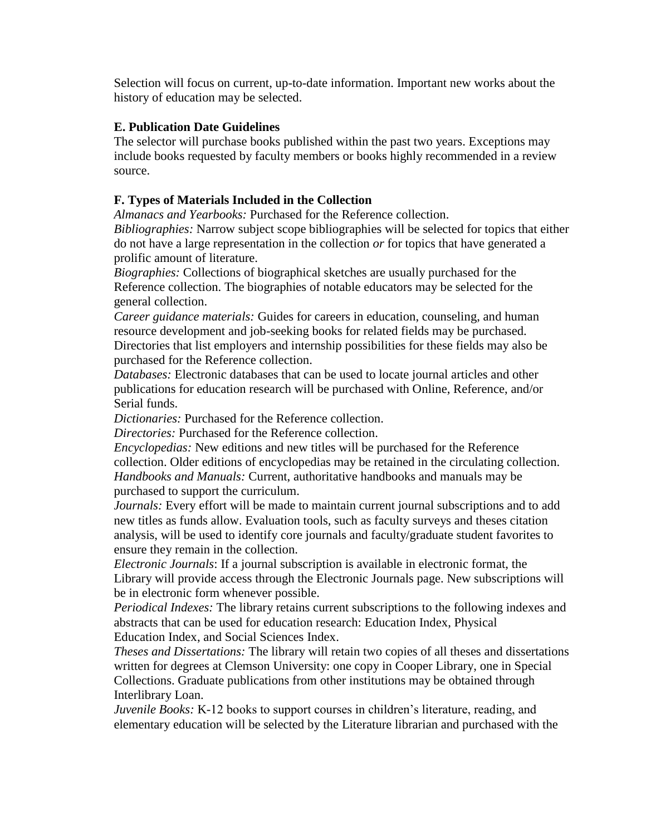Selection will focus on current, up-to-date information. Important new works about the history of education may be selected.

# **E. Publication Date Guidelines**

The selector will purchase books published within the past two years. Exceptions may include books requested by faculty members or books highly recommended in a review source.

# **F. Types of Materials Included in the Collection**

*Almanacs and Yearbooks:* Purchased for the Reference collection.

*Bibliographies:* Narrow subject scope bibliographies will be selected for topics that either do not have a large representation in the collection *or* for topics that have generated a prolific amount of literature.

*Biographies:* Collections of biographical sketches are usually purchased for the Reference collection. The biographies of notable educators may be selected for the general collection.

*Career guidance materials:* Guides for careers in education, counseling, and human resource development and job-seeking books for related fields may be purchased. Directories that list employers and internship possibilities for these fields may also be purchased for the Reference collection.

*Databases:* Electronic databases that can be used to locate journal articles and other publications for education research will be purchased with Online, Reference, and/or Serial funds.

*Dictionaries:* Purchased for the Reference collection.

*Directories:* Purchased for the Reference collection.

*Encyclopedias:* New editions and new titles will be purchased for the Reference collection. Older editions of encyclopedias may be retained in the circulating collection. *Handbooks and Manuals:* Current, authoritative handbooks and manuals may be purchased to support the curriculum.

*Journals:* Every effort will be made to maintain current journal subscriptions and to add new titles as funds allow. Evaluation tools, such as faculty surveys and theses citation analysis, will be used to identify core journals and faculty/graduate student favorites to ensure they remain in the collection.

*Electronic Journals*: If a journal subscription is available in electronic format, the Library will provide access through the Electronic Journals page. New subscriptions will be in electronic form whenever possible.

*Periodical Indexes:* The library retains current subscriptions to the following indexes and abstracts that can be used for education research: Education Index, Physical Education Index, and Social Sciences Index.

*Theses and Dissertations:* The library will retain two copies of all theses and dissertations written for degrees at Clemson University: one copy in Cooper Library, one in Special Collections. Graduate publications from other institutions may be obtained through Interlibrary Loan.

*Juvenile Books:* K-12 books to support courses in children's literature, reading, and elementary education will be selected by the Literature librarian and purchased with the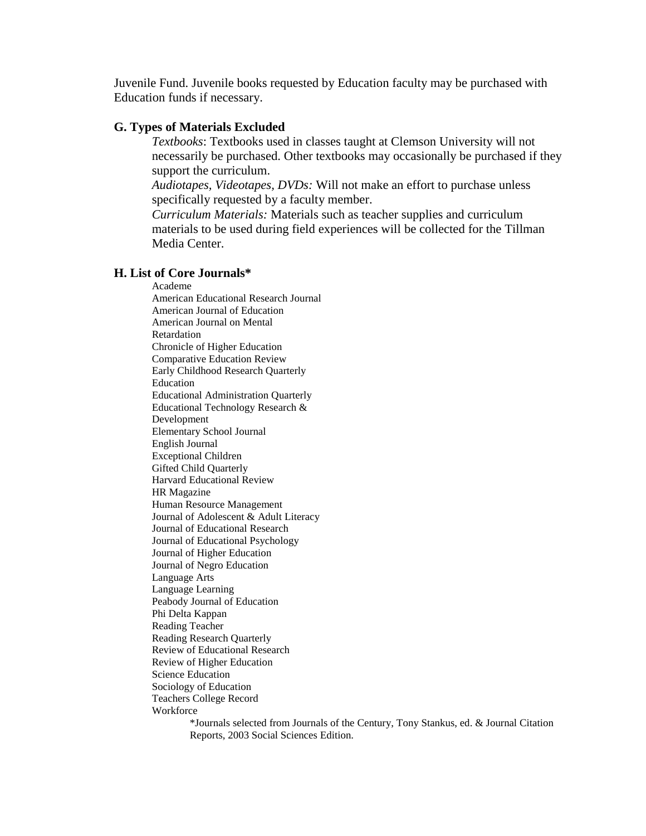Juvenile Fund. Juvenile books requested by Education faculty may be purchased with Education funds if necessary.

#### **G. Types of Materials Excluded**

*Textbooks*: Textbooks used in classes taught at Clemson University will not necessarily be purchased. Other textbooks may occasionally be purchased if they support the curriculum.

*Audiotapes, Videotapes, DVDs:* Will not make an effort to purchase unless specifically requested by a faculty member.

*Curriculum Materials:* Materials such as teacher supplies and curriculum materials to be used during field experiences will be collected for the Tillman Media Center.

#### **H. List of Core Journals\***

Academe American Educational Research Journal American Journal of Education American Journal on Mental Retardation Chronicle of Higher Education Comparative Education Review Early Childhood Research Quarterly Education Educational Administration Quarterly Educational Technology Research & Development Elementary School Journal English Journal Exceptional Children Gifted Child Quarterly Harvard Educational Review HR Magazine Human Resource Management Journal of Adolescent & Adult Literacy Journal of Educational Research Journal of Educational Psychology Journal of Higher Education Journal of Negro Education Language Arts Language Learning Peabody Journal of Education Phi Delta Kappan Reading Teacher Reading Research Quarterly Review of Educational Research Review of Higher Education Science Education Sociology of Education Teachers College Record **Workforce** 

\*Journals selected from Journals of the Century, Tony Stankus, ed. & Journal Citation Reports, 2003 Social Sciences Edition.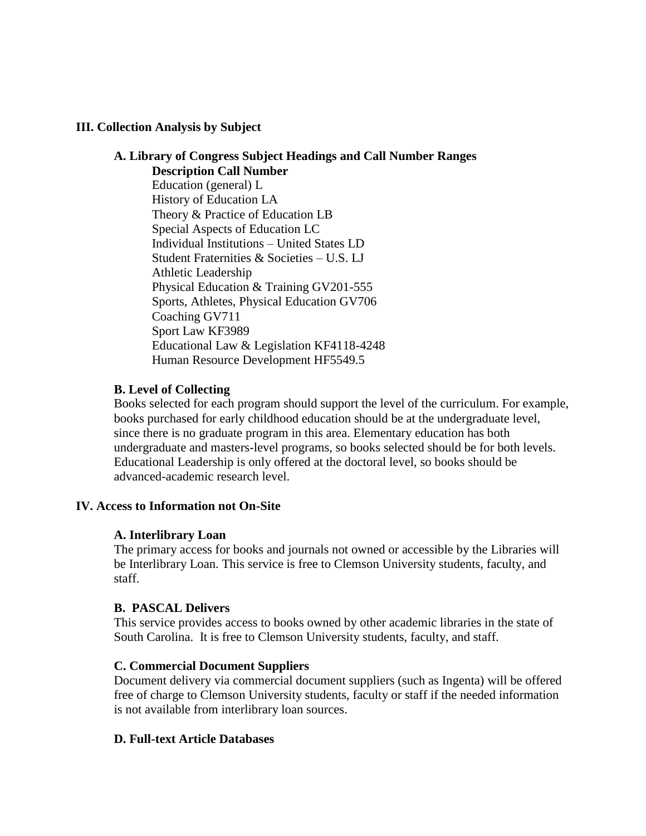# **III. Collection Analysis by Subject**

# **A. Library of Congress Subject Headings and Call Number Ranges Description Call Number** Education (general) L History of Education LA Theory & Practice of Education LB Special Aspects of Education LC Individual Institutions – United States LD Student Fraternities & Societies – U.S. LJ Athletic Leadership Physical Education & Training GV201-555 Sports, Athletes, Physical Education GV706 Coaching GV711 Sport Law KF3989 Educational Law & Legislation KF4118-4248 Human Resource Development HF5549.5

# **B. Level of Collecting**

Books selected for each program should support the level of the curriculum. For example, books purchased for early childhood education should be at the undergraduate level, since there is no graduate program in this area. Elementary education has both undergraduate and masters-level programs, so books selected should be for both levels. Educational Leadership is only offered at the doctoral level, so books should be advanced-academic research level.

# **IV. Access to Information not On-Site**

# **A. Interlibrary Loan**

The primary access for books and journals not owned or accessible by the Libraries will be Interlibrary Loan. This service is free to Clemson University students, faculty, and staff.

# **B. PASCAL Delivers**

This service provides access to books owned by other academic libraries in the state of South Carolina. It is free to Clemson University students, faculty, and staff.

# **C. Commercial Document Suppliers**

Document delivery via commercial document suppliers (such as Ingenta) will be offered free of charge to Clemson University students, faculty or staff if the needed information is not available from interlibrary loan sources.

# **D. Full-text Article Databases**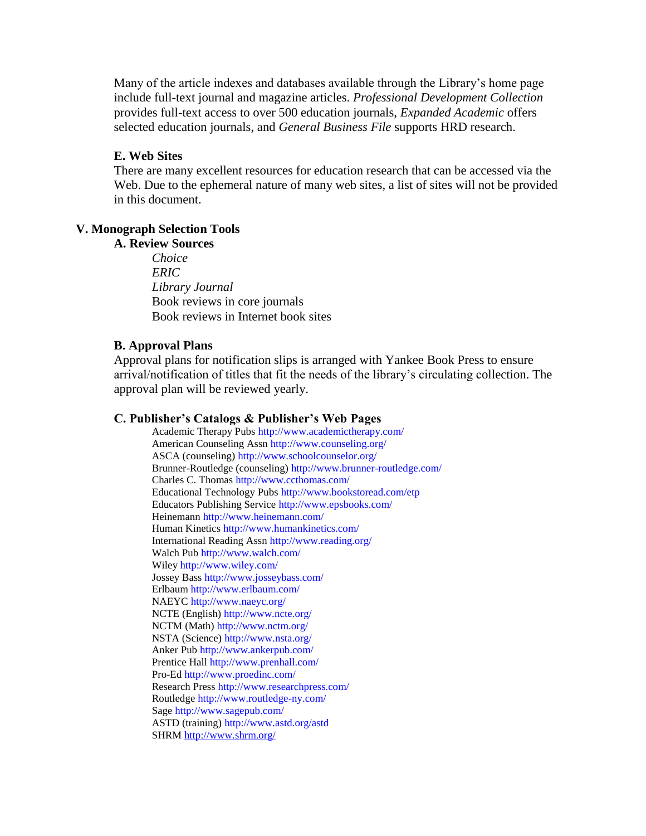Many of the article indexes and databases available through the Library's home page include full-text journal and magazine articles. *Professional Development Collection*  provides full-text access to over 500 education journals, *Expanded Academic* offers selected education journals, and *General Business File* supports HRD research.

#### **E. Web Sites**

There are many excellent resources for education research that can be accessed via the Web. Due to the ephemeral nature of many web sites, a list of sites will not be provided in this document.

#### **V. Monograph Selection Tools**

#### **A. Review Sources**

*Choice ERIC Library Journal* Book reviews in core journals Book reviews in Internet book sites

#### **B. Approval Plans**

Approval plans for notification slips is arranged with Yankee Book Press to ensure arrival/notification of titles that fit the needs of the library's circulating collection. The approval plan will be reviewed yearly.

#### **C. Publisher's Catalogs & Publisher's Web Pages**

Academic Therapy Pubs http://www.academictherapy.com/ American Counseling Assn http://www.counseling.org/ ASCA (counseling) http://www.schoolcounselor.org/ Brunner-Routledge (counseling) http://www.brunner-routledge.com/ Charles C. Thomas http://www.ccthomas.com/ Educational Technology Pubs http://www.bookstoread.com/etp Educators Publishing Service http://www.epsbooks.com/ Heinemann http://www.heinemann.com/ Human Kinetics http://www.humankinetics.com/ International Reading Assn http://www.reading.org/ Walch Pub http://www.walch.com/ Wiley http://www.wiley.com/ Jossey Bass http://www.josseybass.com/ Erlbaum http://www.erlbaum.com/ NAEYC http://www.naeyc.org/ NCTE (English) http://www.ncte.org/ NCTM (Math) http://www.nctm.org/ NSTA (Science) http://www.nsta.org/ Anker Pub http://www.ankerpub.com/ Prentice Hall http://www.prenhall.com/ Pro-Ed http://www.proedinc.com/ Research Press http://www.researchpress.com/ Routledge http://www.routledge-ny.com/ Sage http://www.sagepub.com/ ASTD (training) http://www.astd.org/astd SHRM<http://www.shrm.org/>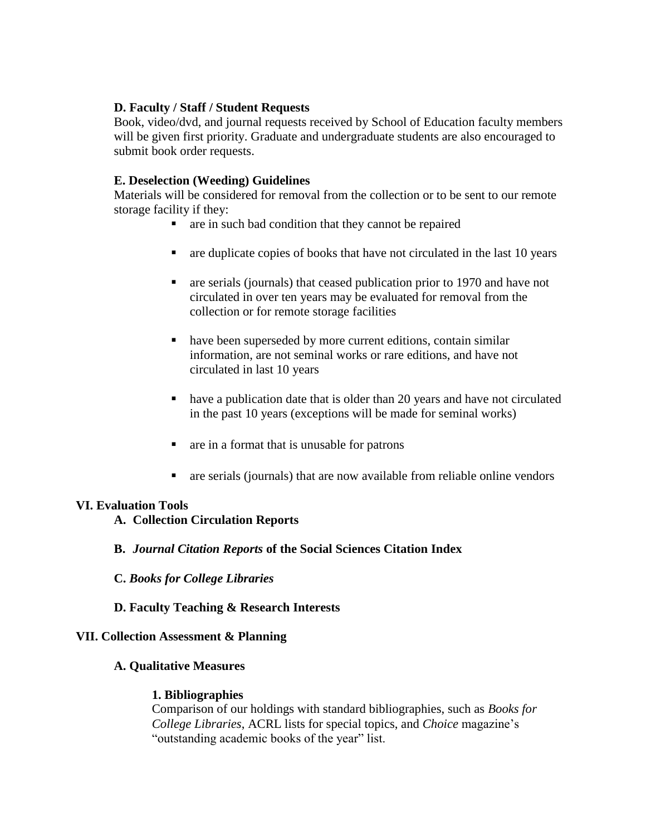# **D. Faculty / Staff / Student Requests**

Book, video/dvd, and journal requests received by School of Education faculty members will be given first priority. Graduate and undergraduate students are also encouraged to submit book order requests.

# **E. Deselection (Weeding) Guidelines**

Materials will be considered for removal from the collection or to be sent to our remote storage facility if they:

- $\blacksquare$  are in such bad condition that they cannot be repaired
- $\blacksquare$  are duplicate copies of books that have not circulated in the last 10 years
- are serials (journals) that ceased publication prior to 1970 and have not circulated in over ten years may be evaluated for removal from the collection or for remote storage facilities
- have been superseded by more current editions, contain similar information, are not seminal works or rare editions, and have not circulated in last 10 years
- have a publication date that is older than 20 years and have not circulated in the past 10 years (exceptions will be made for seminal works)
- are in a format that is unusable for patrons
- are serials (journals) that are now available from reliable online vendors

# **VI. Evaluation Tools**

- **A. Collection Circulation Reports**
- **B.** *Journal Citation Reports* **of the Social Sciences Citation Index**
- **C.** *Books for College Libraries*
- **D. Faculty Teaching & Research Interests**

# **VII. Collection Assessment & Planning**

# **A. Qualitative Measures**

# **1. Bibliographies**

Comparison of our holdings with standard bibliographies, such as *Books for College Libraries*, ACRL lists for special topics, and *Choice* magazine's "outstanding academic books of the year" list.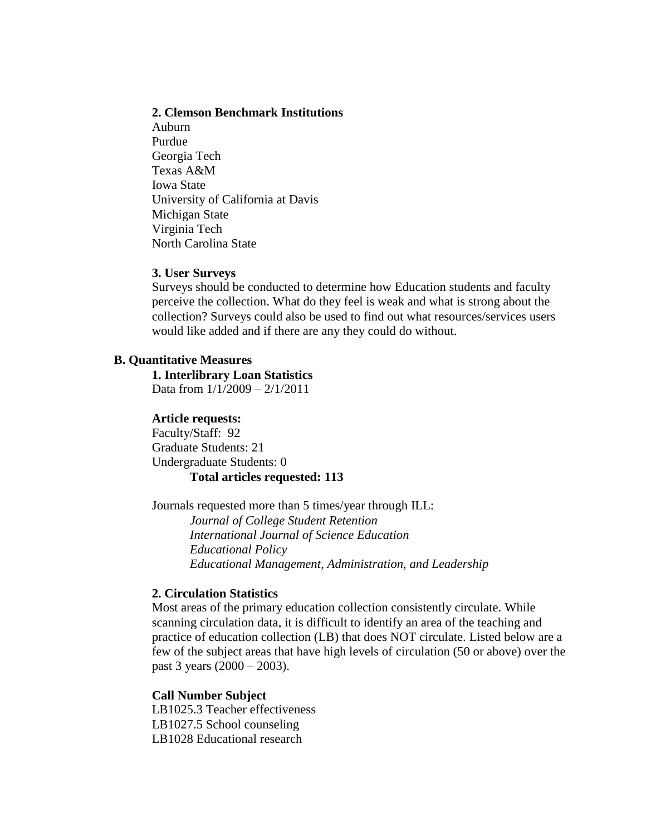#### **2. Clemson Benchmark Institutions**

Auburn Purdue Georgia Tech Texas A&M Iowa State University of California at Davis Michigan State Virginia Tech North Carolina State

#### **3. User Surveys**

Surveys should be conducted to determine how Education students and faculty perceive the collection. What do they feel is weak and what is strong about the collection? Surveys could also be used to find out what resources/services users would like added and if there are any they could do without.

#### **B. Quantitative Measures**

**1. Interlibrary Loan Statistics** Data from 1/1/2009 – 2/1/2011

#### **Article requests:**

Faculty/Staff: 92 Graduate Students: 21 Undergraduate Students: 0 **Total articles requested: 113**

Journals requested more than 5 times/year through ILL: *Journal of College Student Retention International Journal of Science Education Educational Policy Educational Management, Administration, and Leadership*

#### **2. Circulation Statistics**

Most areas of the primary education collection consistently circulate. While scanning circulation data, it is difficult to identify an area of the teaching and practice of education collection (LB) that does NOT circulate. Listed below are a few of the subject areas that have high levels of circulation (50 or above) over the past 3 years (2000 – 2003).

#### **Call Number Subject**

LB1025.3 Teacher effectiveness LB1027.5 School counseling LB1028 Educational research